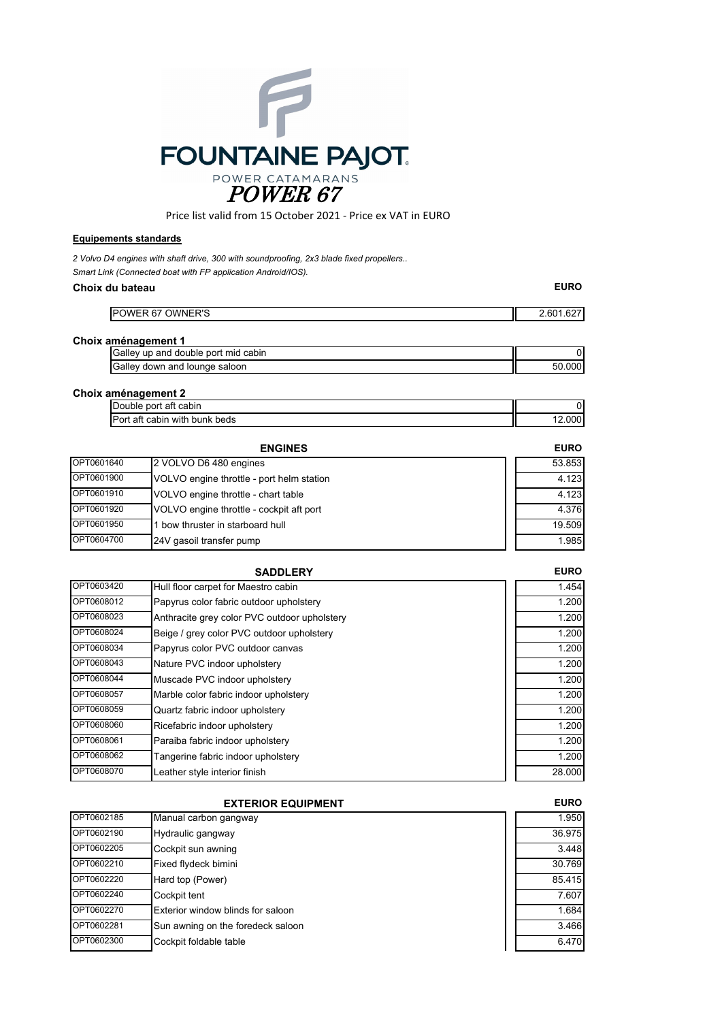

Price list valid from 15 October 2021 ‐ Price ex VAT in EURO

## **Equipements standards**

*2 Volvo D4 engines with shaft drive, 300 with soundproofing, 2x3 blade fixed propellers.. Smart Link (Connected boat with FP application Android/IOS).*

#### **Choix du bateau**

| <b>POWER 67 OWNER'S</b>             | 2.601.627 |
|-------------------------------------|-----------|
| Choix aménagement 1                 |           |
| Galley up and double port mid cabin |           |
| Galley down and lounge saloon       | 50.000    |

**EURO**

#### **Choix aménagement 2**

| -<br>∶cabin<br>port<br>att<br>Jouble<br>-                   |      |
|-------------------------------------------------------------|------|
| r<br>.<br>with<br>beds<br>bunk<br>att<br>cabin<br>'ori<br>ັ | .000 |

|            | <b>ENGINES</b>                            | <b>EURO</b> |
|------------|-------------------------------------------|-------------|
| OPT0601640 | 2 VOLVO D6 480 engines                    | 53.853      |
| OPT0601900 | VOLVO engine throttle - port helm station | 4.123       |
| OPT0601910 | VOLVO engine throttle - chart table       | 4.123       |
| OPT0601920 | VOLVO engine throttle - cockpit aft port  | 4.376       |
| OPT0601950 | bow thruster in starboard hull            | 19.509      |
| OPT0604700 | 24V gasoil transfer pump                  | 1.985       |

|            | <b>SADDLERY</b>                              | <b>EURO</b> |
|------------|----------------------------------------------|-------------|
| OPT0603420 | Hull floor carpet for Maestro cabin          | 1.454       |
| OPT0608012 | Papyrus color fabric outdoor upholstery      | 1.200       |
| OPT0608023 | Anthracite grey color PVC outdoor upholstery | 1.200       |
| OPT0608024 | Beige / grey color PVC outdoor upholstery    | 1.200       |
| OPT0608034 | Papyrus color PVC outdoor canvas             | 1.200       |
| OPT0608043 | Nature PVC indoor upholstery                 | 1.200       |
| OPT0608044 | Muscade PVC indoor upholstery                | 1.200       |
| OPT0608057 | Marble color fabric indoor upholstery        | 1.200       |
| OPT0608059 | Quartz fabric indoor upholstery              | 1.200       |
| OPT0608060 | Ricefabric indoor upholstery                 | 1.200       |
| OPT0608061 | Paraiba fabric indoor upholstery             | 1.200       |
| OPT0608062 | Tangerine fabric indoor upholstery           | 1.200       |
| OPT0608070 | Leather style interior finish                | 28.000      |

| <b>EXTERIOR EQUIPMENT</b> |                                   | <b>EURO</b> |
|---------------------------|-----------------------------------|-------------|
| OPT0602185                | Manual carbon gangway             | 1.950       |
| OPT0602190                | Hydraulic gangway                 | 36.975      |
| OPT0602205                | Cockpit sun awning                | 3.448       |
| OPT0602210                | Fixed flydeck bimini              | 30.769      |
| OPT0602220                | Hard top (Power)                  | 85.415      |
| OPT0602240                | Cockpit tent                      | 7.607       |
| OPT0602270                | Exterior window blinds for saloon | 1.684       |
| OPT0602281                | Sun awning on the foredeck saloon | 3.466       |
| OPT0602300                | Cockpit foldable table            | 6.470       |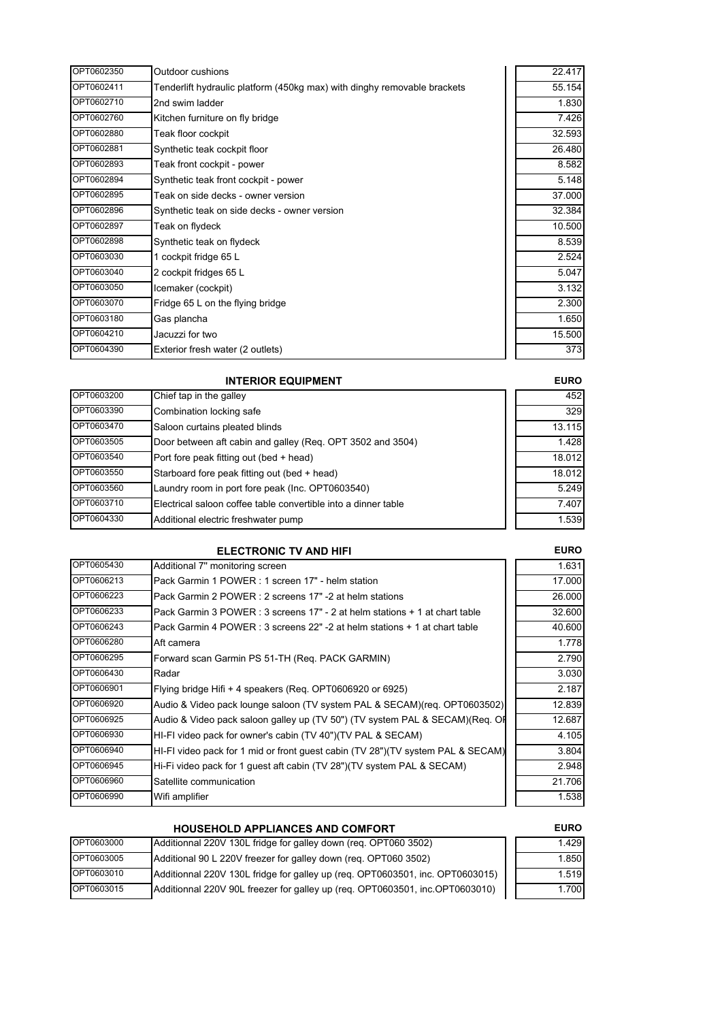| OPT0602350 | Outdoor cushions                                                         | 22.417 |
|------------|--------------------------------------------------------------------------|--------|
| OPT0602411 | Tenderlift hydraulic platform (450kg max) with dinghy removable brackets | 55.154 |
| OPT0602710 | 2nd swim ladder                                                          | 1.830  |
| OPT0602760 | Kitchen furniture on fly bridge                                          | 7.426  |
| OPT0602880 | Teak floor cockpit                                                       | 32.593 |
| OPT0602881 | Synthetic teak cockpit floor                                             | 26.480 |
| OPT0602893 | Teak front cockpit - power                                               | 8.582  |
| OPT0602894 | Synthetic teak front cockpit - power                                     | 5.148  |
| OPT0602895 | Teak on side decks - owner version                                       | 37.000 |
| OPT0602896 | Synthetic teak on side decks - owner version                             | 32.384 |
| OPT0602897 | Teak on flydeck                                                          | 10.500 |
| OPT0602898 | Synthetic teak on flydeck                                                | 8.539  |
| OPT0603030 | 1 cockpit fridge 65 L                                                    | 2.524  |
| OPT0603040 | 2 cockpit fridges 65 L                                                   | 5.047  |
| OPT0603050 | Icemaker (cockpit)                                                       | 3.132  |
| OPT0603070 | Fridge 65 L on the flying bridge                                         | 2.300  |
| OPT0603180 | Gas plancha                                                              | 1.650  |
| OPT0604210 | Jacuzzi for two                                                          | 15.500 |
| OPT0604390 | Exterior fresh water (2 outlets)                                         | 373    |

# **INTERIOR EQUIPMENT**

| OPT0603200 | Chief tap in the galley                                        | 452    |
|------------|----------------------------------------------------------------|--------|
| OPT0603390 | Combination locking safe                                       | 329    |
| OPT0603470 | Saloon curtains pleated blinds                                 | 13.115 |
| OPT0603505 | Door between aft cabin and galley (Req. OPT 3502 and 3504)     | 1.428  |
| OPT0603540 | Port fore peak fitting out (bed + head)                        | 18.012 |
| OPT0603550 | Starboard fore peak fitting out (bed + head)                   | 18.012 |
| OPT0603560 | Laundry room in port fore peak (Inc. OPT0603540)               | 5.249  |
| OPT0603710 | Electrical saloon coffee table convertible into a dinner table | 7.407  |
| OPT0604330 | Additional electric freshwater pump                            | 1.539  |

## **ELECTRONIC TV AND HIFI**

| OPT0605430 | Additional 7" monitoring screen                                                 | 1.631  |
|------------|---------------------------------------------------------------------------------|--------|
| OPT0606213 | Pack Garmin 1 POWER: 1 screen 17" - helm station                                | 17.000 |
| OPT0606223 | Pack Garmin 2 POWER : 2 screens 17" -2 at helm stations                         | 26.000 |
| OPT0606233 | Pack Garmin 3 POWER : 3 screens 17" - 2 at helm stations + 1 at chart table     | 32.600 |
| OPT0606243 | Pack Garmin 4 POWER : 3 screens 22" -2 at helm stations + 1 at chart table      | 40.600 |
| OPT0606280 | Aft camera                                                                      | 1.778  |
| OPT0606295 | Forward scan Garmin PS 51-TH (Req. PACK GARMIN)                                 | 2.790  |
| OPT0606430 | Radar                                                                           | 3.030  |
| OPT0606901 | Flying bridge Hifi + 4 speakers (Reg. OPT0606920 or 6925)                       | 2.187  |
| OPT0606920 | Audio & Video pack lounge saloon (TV system PAL & SECAM)(req. OPT0603502)       | 12.839 |
| OPT0606925 | Audio & Video pack saloon galley up (TV 50") (TV system PAL & SECAM)(Req. Of    | 12.687 |
| OPT0606930 | HI-FI video pack for owner's cabin (TV 40")(TV PAL & SECAM)                     | 4.105  |
| OPT0606940 | HI-FI video pack for 1 mid or front guest cabin (TV 28")(TV system PAL & SECAM) | 3.804  |
| OPT0606945 | Hi-Fi video pack for 1 guest aft cabin (TV 28")(TV system PAL & SECAM)          | 2.948  |
| OPT0606960 | Satellite communication                                                         | 21.706 |
| OPT0606990 | Wifi amplifier                                                                  | 1.538  |

|            | <b>HOUSEHOLD APPLIANCES AND COMFORT</b>                                       | <b>EURO</b> |
|------------|-------------------------------------------------------------------------------|-------------|
| OPT0603000 | Additionnal 220V 130L fridge for galley down (req. OPT060 3502)               | 1.429       |
| OPT0603005 | Additional 90 L 220V freezer for galley down (reg. OPT060 3502)               | 1.850       |
| OPT0603010 | Additionnal 220V 130L fridge for galley up (req. OPT0603501, inc. OPT0603015) | 1.519       |
| OPT0603015 | Additionnal 220V 90L freezer for galley up (req. OPT0603501, inc.OPT0603010)  | 1.700       |

## **EURO**

**EURO**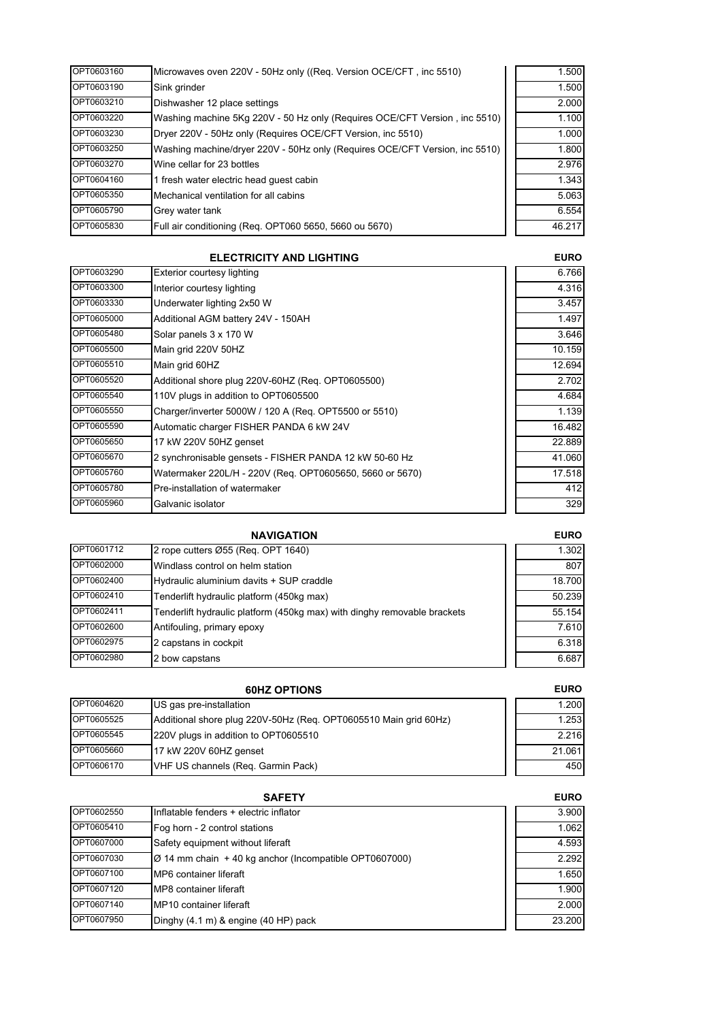| OPT0603160 | Microwaves oven 220V - 50Hz only ((Req. Version OCE/CFT, inc 5510)          | 1.500  |
|------------|-----------------------------------------------------------------------------|--------|
| OPT0603190 | Sink grinder                                                                | 1.500  |
| OPT0603210 | Dishwasher 12 place settings                                                | 2.000  |
| OPT0603220 | Washing machine 5Kg 220V - 50 Hz only (Requires OCE/CFT Version, inc 5510)  | 1.100  |
| OPT0603230 | Dryer 220V - 50Hz only (Requires OCE/CFT Version, inc 5510)                 | 1.000  |
| OPT0603250 | Washing machine/dryer 220V - 50Hz only (Requires OCE/CFT Version, inc 5510) | 1.800  |
| OPT0603270 | Wine cellar for 23 bottles                                                  | 2.976  |
| OPT0604160 | 1 fresh water electric head quest cabin                                     | 1.343  |
| OPT0605350 | Mechanical ventilation for all cabins                                       | 5.063  |
| OPT0605790 | Grey water tank                                                             | 6.554  |
| OPT0605830 | Full air conditioning (Req. OPT060 5650, 5660 ou 5670)                      | 46.217 |

|            | <b>ELECTRICITY AND LIGHTING</b>                          |        |
|------------|----------------------------------------------------------|--------|
| OPT0603290 | Exterior courtesy lighting                               | 6.766  |
| OPT0603300 | Interior courtesy lighting                               | 4.316  |
| OPT0603330 | Underwater lighting 2x50 W                               | 3.457  |
| OPT0605000 | Additional AGM battery 24V - 150AH                       | 1.497  |
| OPT0605480 | Solar panels 3 x 170 W                                   | 3.646  |
| OPT0605500 | Main grid 220V 50HZ                                      | 10.159 |
| OPT0605510 | Main grid 60HZ                                           | 12.694 |
| OPT0605520 | Additional shore plug 220V-60HZ (Req. OPT0605500)        | 2.702  |
| OPT0605540 | 110V plugs in addition to OPT0605500                     | 4.684  |
| OPT0605550 | Charger/inverter 5000W / 120 A (Req. OPT5500 or 5510)    | 1.139  |
| OPT0605590 | Automatic charger FISHER PANDA 6 kW 24V                  | 16.482 |
| OPT0605650 | 17 kW 220V 50HZ genset                                   | 22.889 |
| OPT0605670 | 2 synchronisable gensets - FISHER PANDA 12 kW 50-60 Hz   | 41.060 |
| OPT0605760 | Watermaker 220L/H - 220V (Req. OPT0605650, 5660 or 5670) | 17.518 |
| OPT0605780 | Pre-installation of watermaker                           | 412    |
| OPT0605960 | Galvanic isolator                                        | 329    |

|            | <b>NAVIGATION</b>                                                        | <b>EURO</b> |
|------------|--------------------------------------------------------------------------|-------------|
| OPT0601712 | 2 rope cutters Ø55 (Reg. OPT 1640)                                       | 1.302       |
| OPT0602000 | Windlass control on helm station                                         | 807         |
| OPT0602400 | Hydraulic aluminium davits + SUP craddle                                 | 18.700      |
| OPT0602410 | Tenderlift hydraulic platform (450kg max)                                | 50.239      |
| OPT0602411 | Tenderlift hydraulic platform (450kg max) with dinghy removable brackets | 55.154      |
| OPT0602600 | Antifouling, primary epoxy                                               | 7.610       |
| OPT0602975 | 2 capstans in cockpit                                                    | 6.318       |
| OPT0602980 | 2 bow capstans                                                           | 6.687       |

| <b>60HZ OPTIONS</b> |                                                                  | <b>EURO</b> |
|---------------------|------------------------------------------------------------------|-------------|
| OPT0604620          | US gas pre-installation                                          | 1.200       |
| OPT0605525          | Additional shore plug 220V-50Hz (Reg. OPT0605510 Main grid 60Hz) | 1.253       |
| OPT0605545          | 220V plugs in addition to OPT0605510                             | 2.216       |
| OPT0605660          | 17 kW 220V 60HZ genset                                           | 21.061      |
| OPT0606170          | VHF US channels (Req. Garmin Pack)                               | 450         |

| <b>SAFETY</b> |                                                                    | <b>EURO</b> |
|---------------|--------------------------------------------------------------------|-------------|
| OPT0602550    | Inflatable fenders + electric inflator                             | 3.900       |
| OPT0605410    | Fog horn - 2 control stations                                      | 1.062       |
| OPT0607000    | Safety equipment without liferaft                                  | 4.593       |
| OPT0607030    | $\varnothing$ 14 mm chain + 40 kg anchor (Incompatible OPT0607000) | 2.292       |
| OPT0607100    | MP6 container liferaft                                             | 1.650       |
| OPT0607120    | MP8 container liferaft                                             | 1.900       |
| OPT0607140    | MP10 container liferaft                                            | 2.000       |
| OPT0607950    | Dinghy (4.1 m) & engine (40 HP) pack                               | 23.200      |